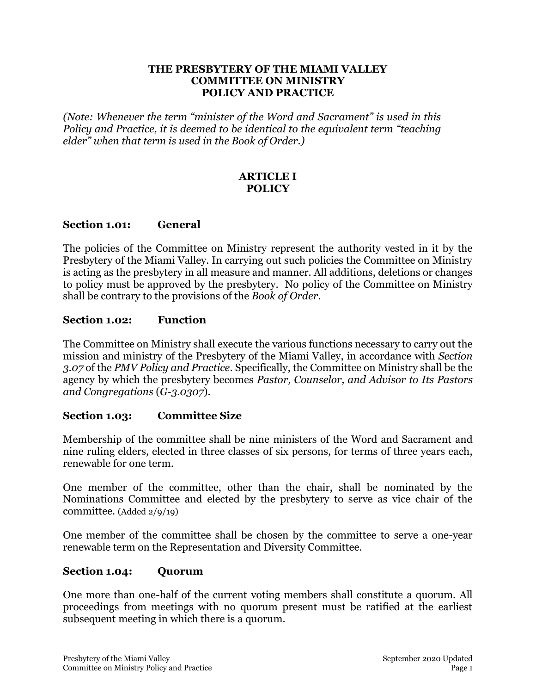#### **THE PRESBYTERY OF THE MIAMI VALLEY COMMITTEE ON MINISTRY POLICY AND PRACTICE**

*(Note: Whenever the term "minister of the Word and Sacrament" is used in this Policy and Practice, it is deemed to be identical to the equivalent term "teaching elder" when that term is used in the Book of Order.)*

## **ARTICLE I POLICY**

### **Section 1.01: General**

The policies of the Committee on Ministry represent the authority vested in it by the Presbytery of the Miami Valley. In carrying out such policies the Committee on Ministry is acting as the presbytery in all measure and manner. All additions, deletions or changes to policy must be approved by the presbytery. No policy of the Committee on Ministry shall be contrary to the provisions of the *Book of Order*.

#### **Section 1.02: Function**

The Committee on Ministry shall execute the various functions necessary to carry out the mission and ministry of the Presbytery of the Miami Valley, in accordance with *Section 3.07* of the *PMV Policy and Practice*. Specifically, the Committee on Ministry shall be the agency by which the presbytery becomes *Pastor, Counselor, and Advisor to Its Pastors and Congregations* (*G-3.0307*).

#### **Section 1.03: Committee Size**

Membership of the committee shall be nine ministers of the Word and Sacrament and nine ruling elders, elected in three classes of six persons, for terms of three years each, renewable for one term.

One member of the committee, other than the chair, shall be nominated by the Nominations Committee and elected by the presbytery to serve as vice chair of the committee. (Added 2/9/19)

One member of the committee shall be chosen by the committee to serve a one-year renewable term on the Representation and Diversity Committee.

## **Section 1.04: Quorum**

One more than one-half of the current voting members shall constitute a quorum. All proceedings from meetings with no quorum present must be ratified at the earliest subsequent meeting in which there is a quorum.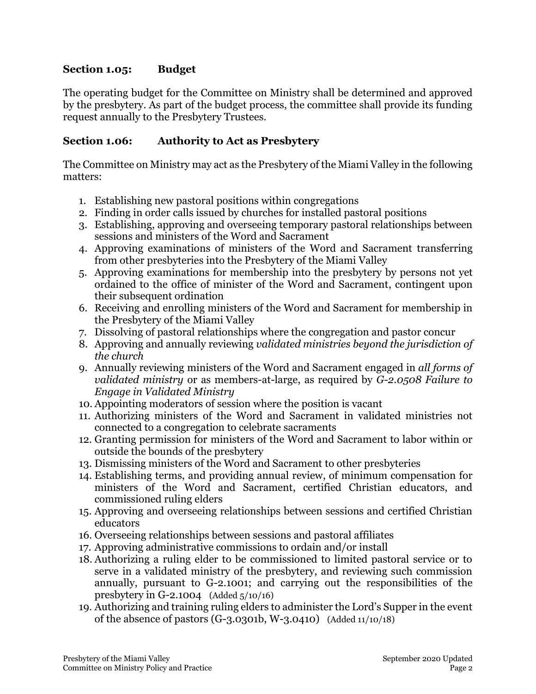### **Section 1.05: Budget**

The operating budget for the Committee on Ministry shall be determined and approved by the presbytery. As part of the budget process, the committee shall provide its funding request annually to the Presbytery Trustees.

### **Section 1.06: Authority to Act as Presbytery**

The Committee on Ministry may act as the Presbytery of the Miami Valley in the following matters:

- 1. Establishing new pastoral positions within congregations
- 2. Finding in order calls issued by churches for installed pastoral positions
- 3. Establishing, approving and overseeing temporary pastoral relationships between sessions and ministers of the Word and Sacrament
- 4. Approving examinations of ministers of the Word and Sacrament transferring from other presbyteries into the Presbytery of the Miami Valley
- 5. Approving examinations for membership into the presbytery by persons not yet ordained to the office of minister of the Word and Sacrament, contingent upon their subsequent ordination
- 6. Receiving and enrolling ministers of the Word and Sacrament for membership in the Presbytery of the Miami Valley
- 7. Dissolving of pastoral relationships where the congregation and pastor concur
- 8. Approving and annually reviewing *validated ministries beyond the jurisdiction of the church*
- 9. Annually reviewing ministers of the Word and Sacrament engaged in *all forms of validated ministry* or as members-at-large, as required by *G-2.0508 Failure to Engage in Validated Ministry*
- 10. Appointing moderators of session where the position is vacant
- 11. Authorizing ministers of the Word and Sacrament in validated ministries not connected to a congregation to celebrate sacraments
- 12. Granting permission for ministers of the Word and Sacrament to labor within or outside the bounds of the presbytery
- 13. Dismissing ministers of the Word and Sacrament to other presbyteries
- 14. Establishing terms, and providing annual review, of minimum compensation for ministers of the Word and Sacrament, certified Christian educators, and commissioned ruling elders
- 15. Approving and overseeing relationships between sessions and certified Christian educators
- 16. Overseeing relationships between sessions and pastoral affiliates
- 17. Approving administrative commissions to ordain and/or install
- 18. Authorizing a ruling elder to be commissioned to limited pastoral service or to serve in a validated ministry of the presbytery, and reviewing such commission annually, pursuant to G-2.1001; and carrying out the responsibilities of the presbytery in G-2.1004 (Added 5/10/16)
- 19. Authorizing and training ruling elders to administer the Lord's Supper in the event of the absence of pastors (G-3.0301b, W-3.0410) (Added 11/10/18)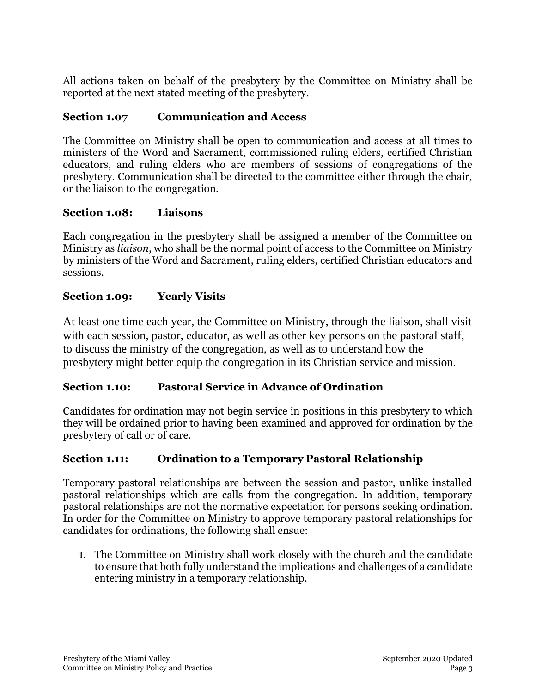All actions taken on behalf of the presbytery by the Committee on Ministry shall be reported at the next stated meeting of the presbytery.

## **Section 1.07 Communication and Access**

The Committee on Ministry shall be open to communication and access at all times to ministers of the Word and Sacrament, commissioned ruling elders, certified Christian educators, and ruling elders who are members of sessions of congregations of the presbytery. Communication shall be directed to the committee either through the chair, or the liaison to the congregation.

### **Section 1.08: Liaisons**

Each congregation in the presbytery shall be assigned a member of the Committee on Ministry as *liaison*, who shall be the normal point of access to the Committee on Ministry by ministers of the Word and Sacrament, ruling elders, certified Christian educators and sessions.

## **Section 1.09: Yearly Visits**

At least one time each year, the Committee on Ministry, through the liaison, shall visit with each session, pastor, educator, as well as other key persons on the pastoral staff, to discuss the ministry of the congregation, as well as to understand how the presbytery might better equip the congregation in its Christian service and mission.

## **Section 1.10: Pastoral Service in Advance of Ordination**

Candidates for ordination may not begin service in positions in this presbytery to which they will be ordained prior to having been examined and approved for ordination by the presbytery of call or of care.

# **Section 1.11: Ordination to a Temporary Pastoral Relationship**

Temporary pastoral relationships are between the session and pastor, unlike installed pastoral relationships which are calls from the congregation. In addition, temporary pastoral relationships are not the normative expectation for persons seeking ordination. In order for the Committee on Ministry to approve temporary pastoral relationships for candidates for ordinations, the following shall ensue:

1. The Committee on Ministry shall work closely with the church and the candidate to ensure that both fully understand the implications and challenges of a candidate entering ministry in a temporary relationship.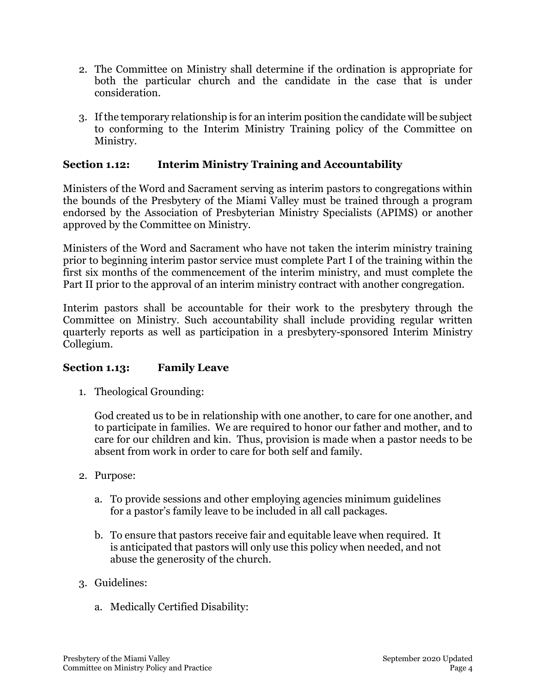- 2. The Committee on Ministry shall determine if the ordination is appropriate for both the particular church and the candidate in the case that is under consideration.
- 3. If the temporary relationship is for an interim position the candidate will be subject to conforming to the Interim Ministry Training policy of the Committee on Ministry.

## **Section 1.12: Interim Ministry Training and Accountability**

Ministers of the Word and Sacrament serving as interim pastors to congregations within the bounds of the Presbytery of the Miami Valley must be trained through a program endorsed by the Association of Presbyterian Ministry Specialists (APIMS) or another approved by the Committee on Ministry.

Ministers of the Word and Sacrament who have not taken the interim ministry training prior to beginning interim pastor service must complete Part I of the training within the first six months of the commencement of the interim ministry, and must complete the Part II prior to the approval of an interim ministry contract with another congregation.

Interim pastors shall be accountable for their work to the presbytery through the Committee on Ministry. Such accountability shall include providing regular written quarterly reports as well as participation in a presbytery-sponsored Interim Ministry Collegium.

## **Section 1.13: Family Leave**

1. Theological Grounding:

God created us to be in relationship with one another, to care for one another, and to participate in families. We are required to honor our father and mother, and to care for our children and kin. Thus, provision is made when a pastor needs to be absent from work in order to care for both self and family.

- 2. Purpose:
	- a. To provide sessions and other employing agencies minimum guidelines for a pastor's family leave to be included in all call packages.
	- b. To ensure that pastors receive fair and equitable leave when required. It is anticipated that pastors will only use this policy when needed, and not abuse the generosity of the church.
- 3. Guidelines:
	- a. Medically Certified Disability: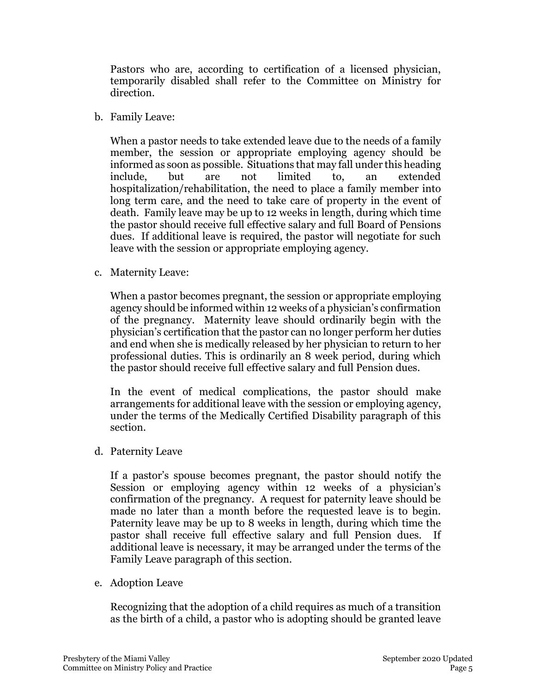Pastors who are, according to certification of a licensed physician, temporarily disabled shall refer to the Committee on Ministry for direction.

b. Family Leave:

When a pastor needs to take extended leave due to the needs of a family member, the session or appropriate employing agency should be informed as soon as possible. Situations that may fall under this heading include, but are not limited to, an extended hospitalization/rehabilitation, the need to place a family member into long term care, and the need to take care of property in the event of death. Family leave may be up to 12 weeks in length, during which time the pastor should receive full effective salary and full Board of Pensions dues. If additional leave is required, the pastor will negotiate for such leave with the session or appropriate employing agency.

c. Maternity Leave:

When a pastor becomes pregnant, the session or appropriate employing agency should be informed within 12 weeks of a physician's confirmation of the pregnancy. Maternity leave should ordinarily begin with the physician's certification that the pastor can no longer perform her duties and end when she is medically released by her physician to return to her professional duties. This is ordinarily an 8 week period, during which the pastor should receive full effective salary and full Pension dues.

In the event of medical complications, the pastor should make arrangements for additional leave with the session or employing agency, under the terms of the Medically Certified Disability paragraph of this section.

d. Paternity Leave

If a pastor's spouse becomes pregnant, the pastor should notify the Session or employing agency within 12 weeks of a physician's confirmation of the pregnancy. A request for paternity leave should be made no later than a month before the requested leave is to begin. Paternity leave may be up to 8 weeks in length, during which time the pastor shall receive full effective salary and full Pension dues. If additional leave is necessary, it may be arranged under the terms of the Family Leave paragraph of this section.

e. Adoption Leave

Recognizing that the adoption of a child requires as much of a transition as the birth of a child, a pastor who is adopting should be granted leave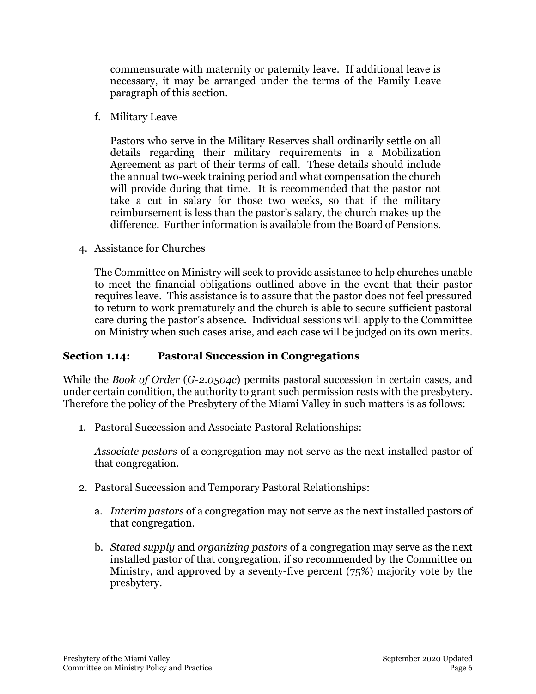commensurate with maternity or paternity leave. If additional leave is necessary, it may be arranged under the terms of the Family Leave paragraph of this section.

f. Military Leave

Pastors who serve in the Military Reserves shall ordinarily settle on all details regarding their military requirements in a Mobilization Agreement as part of their terms of call. These details should include the annual two-week training period and what compensation the church will provide during that time. It is recommended that the pastor not take a cut in salary for those two weeks, so that if the military reimbursement is less than the pastor's salary, the church makes up the difference. Further information is available from the Board of Pensions.

4. Assistance for Churches

The Committee on Ministry will seek to provide assistance to help churches unable to meet the financial obligations outlined above in the event that their pastor requires leave. This assistance is to assure that the pastor does not feel pressured to return to work prematurely and the church is able to secure sufficient pastoral care during the pastor's absence. Individual sessions will apply to the Committee on Ministry when such cases arise, and each case will be judged on its own merits.

## **Section 1.14: Pastoral Succession in Congregations**

While the *Book of Order* (*G-2.0504c*) permits pastoral succession in certain cases, and under certain condition, the authority to grant such permission rests with the presbytery. Therefore the policy of the Presbytery of the Miami Valley in such matters is as follows:

1. Pastoral Succession and Associate Pastoral Relationships:

*Associate pastors* of a congregation may not serve as the next installed pastor of that congregation.

- 2. Pastoral Succession and Temporary Pastoral Relationships:
	- a. *Interim pastors* of a congregation may not serve as the next installed pastors of that congregation.
	- b. *Stated supply* and *organizing pastors* of a congregation may serve as the next installed pastor of that congregation, if so recommended by the Committee on Ministry, and approved by a seventy-five percent (75%) majority vote by the presbytery.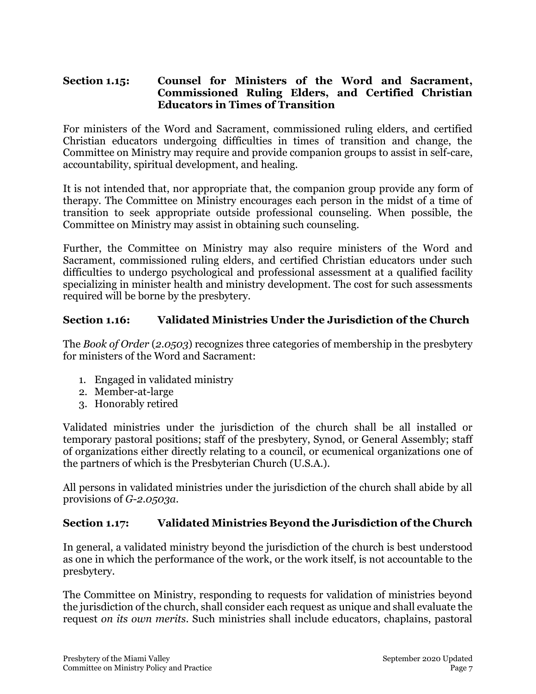#### **Section 1.15: Counsel for Ministers of the Word and Sacrament, Commissioned Ruling Elders, and Certified Christian Educators in Times of Transition**

For ministers of the Word and Sacrament, commissioned ruling elders, and certified Christian educators undergoing difficulties in times of transition and change, the Committee on Ministry may require and provide companion groups to assist in self-care, accountability, spiritual development, and healing.

It is not intended that, nor appropriate that, the companion group provide any form of therapy. The Committee on Ministry encourages each person in the midst of a time of transition to seek appropriate outside professional counseling. When possible, the Committee on Ministry may assist in obtaining such counseling.

Further, the Committee on Ministry may also require ministers of the Word and Sacrament, commissioned ruling elders, and certified Christian educators under such difficulties to undergo psychological and professional assessment at a qualified facility specializing in minister health and ministry development. The cost for such assessments required will be borne by the presbytery.

## **Section 1.16: Validated Ministries Under the Jurisdiction of the Church**

The *Book of Order* (*2.0503*) recognizes three categories of membership in the presbytery for ministers of the Word and Sacrament:

- 1. Engaged in validated ministry
- 2. Member-at-large
- 3. Honorably retired

Validated ministries under the jurisdiction of the church shall be all installed or temporary pastoral positions; staff of the presbytery, Synod, or General Assembly; staff of organizations either directly relating to a council, or ecumenical organizations one of the partners of which is the Presbyterian Church (U.S.A.).

All persons in validated ministries under the jurisdiction of the church shall abide by all provisions of *G-2.0503a.*

#### **Section 1.17: Validated Ministries Beyond the Jurisdiction of the Church**

In general, a validated ministry beyond the jurisdiction of the church is best understood as one in which the performance of the work, or the work itself, is not accountable to the presbytery.

The Committee on Ministry, responding to requests for validation of ministries beyond the jurisdiction of the church, shall consider each request as unique and shall evaluate the request *on its own merits*. Such ministries shall include educators, chaplains, pastoral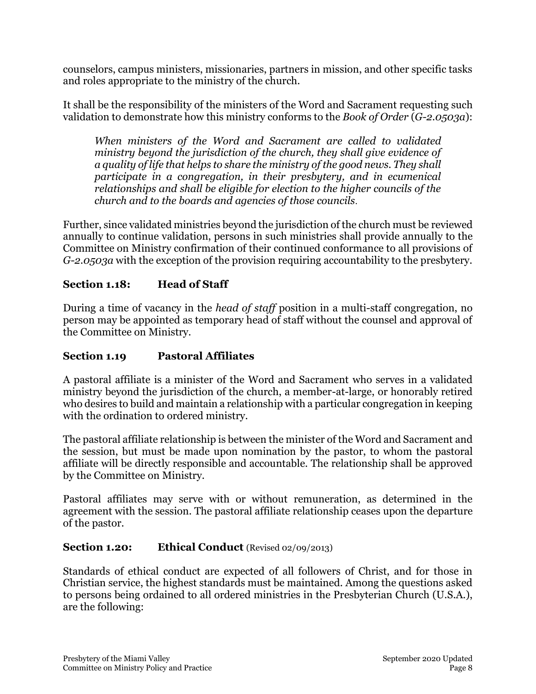counselors, campus ministers, missionaries, partners in mission, and other specific tasks and roles appropriate to the ministry of the church.

It shall be the responsibility of the ministers of the Word and Sacrament requesting such validation to demonstrate how this ministry conforms to the *Book of Order* (*G-2.0503a*):

*When ministers of the Word and Sacrament are called to validated ministry beyond the jurisdiction of the church, they shall give evidence of a quality of life that helps to share the ministry of the good news. They shall participate in a congregation, in their presbytery, and in ecumenical relationships and shall be eligible for election to the higher councils of the church and to the boards and agencies of those councils*.

Further, since validated ministries beyond the jurisdiction of the church must be reviewed annually to continue validation, persons in such ministries shall provide annually to the Committee on Ministry confirmation of their continued conformance to all provisions of *G-2.0503a* with the exception of the provision requiring accountability to the presbytery.

# **Section 1.18: Head of Staff**

During a time of vacancy in the *head of staff* position in a multi-staff congregation, no person may be appointed as temporary head of staff without the counsel and approval of the Committee on Ministry.

# **Section 1.19 Pastoral Affiliates**

A pastoral affiliate is a minister of the Word and Sacrament who serves in a validated ministry beyond the jurisdiction of the church, a member-at-large, or honorably retired who desires to build and maintain a relationship with a particular congregation in keeping with the ordination to ordered ministry.

The pastoral affiliate relationship is between the minister of the Word and Sacrament and the session, but must be made upon nomination by the pastor, to whom the pastoral affiliate will be directly responsible and accountable. The relationship shall be approved by the Committee on Ministry.

Pastoral affiliates may serve with or without remuneration, as determined in the agreement with the session. The pastoral affiliate relationship ceases upon the departure of the pastor.

## **Section 1.20: Ethical Conduct** (Revised 02/09/2013)

Standards of ethical conduct are expected of all followers of Christ, and for those in Christian service, the highest standards must be maintained. Among the questions asked to persons being ordained to all ordered ministries in the Presbyterian Church (U.S.A.), are the following: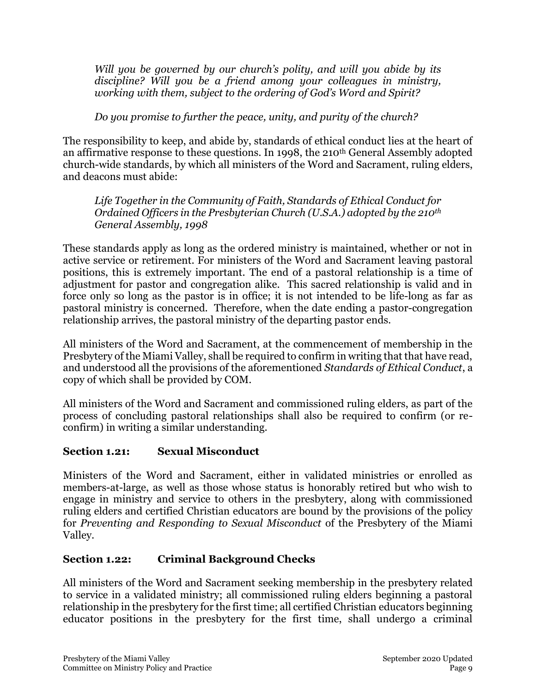*Will you be governed by our church's polity, and will you abide by its discipline? Will you be a friend among your colleagues in ministry, working with them, subject to the ordering of God's Word and Spirit?*

## *Do you promise to further the peace, unity, and purity of the church?*

The responsibility to keep, and abide by, standards of ethical conduct lies at the heart of an affirmative response to these questions. In 1998, the 210th General Assembly adopted church-wide standards, by which all ministers of the Word and Sacrament, ruling elders, and deacons must abide:

*Life Together in the Community of Faith, Standards of Ethical Conduct for Ordained Officers in the Presbyterian Church (U.S.A.) adopted by the 210th General Assembly, 1998*

These standards apply as long as the ordered ministry is maintained, whether or not in active service or retirement. For ministers of the Word and Sacrament leaving pastoral positions, this is extremely important. The end of a pastoral relationship is a time of adjustment for pastor and congregation alike. This sacred relationship is valid and in force only so long as the pastor is in office; it is not intended to be life-long as far as pastoral ministry is concerned. Therefore, when the date ending a pastor-congregation relationship arrives, the pastoral ministry of the departing pastor ends.

All ministers of the Word and Sacrament, at the commencement of membership in the Presbytery of the Miami Valley, shall be required to confirm in writing that that have read, and understood all the provisions of the aforementioned *Standards of Ethical Conduct*, a copy of which shall be provided by COM.

All ministers of the Word and Sacrament and commissioned ruling elders, as part of the process of concluding pastoral relationships shall also be required to confirm (or reconfirm) in writing a similar understanding.

## **Section 1.21: Sexual Misconduct**

Ministers of the Word and Sacrament, either in validated ministries or enrolled as members-at-large, as well as those whose status is honorably retired but who wish to engage in ministry and service to others in the presbytery, along with commissioned ruling elders and certified Christian educators are bound by the provisions of the policy for *Preventing and Responding to Sexual Misconduct* of the Presbytery of the Miami Valley.

# **Section 1.22: Criminal Background Checks**

All ministers of the Word and Sacrament seeking membership in the presbytery related to service in a validated ministry; all commissioned ruling elders beginning a pastoral relationship in the presbytery for the first time; all certified Christian educators beginning educator positions in the presbytery for the first time, shall undergo a criminal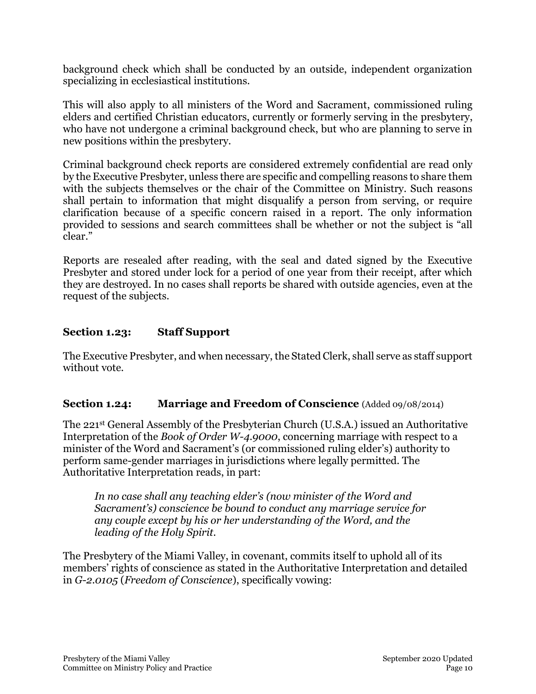background check which shall be conducted by an outside, independent organization specializing in ecclesiastical institutions.

This will also apply to all ministers of the Word and Sacrament, commissioned ruling elders and certified Christian educators, currently or formerly serving in the presbytery, who have not undergone a criminal background check, but who are planning to serve in new positions within the presbytery.

Criminal background check reports are considered extremely confidential are read only by the Executive Presbyter, unless there are specific and compelling reasons to share them with the subjects themselves or the chair of the Committee on Ministry. Such reasons shall pertain to information that might disqualify a person from serving, or require clarification because of a specific concern raised in a report. The only information provided to sessions and search committees shall be whether or not the subject is "all clear."

Reports are resealed after reading, with the seal and dated signed by the Executive Presbyter and stored under lock for a period of one year from their receipt, after which they are destroyed. In no cases shall reports be shared with outside agencies, even at the request of the subjects.

## **Section 1.23: Staff Support**

The Executive Presbyter, and when necessary, the Stated Clerk, shall serve as staff support without vote.

## **Section 1.24: Marriage and Freedom of Conscience** (Added 09/08/2014)

The 221st General Assembly of the Presbyterian Church (U.S.A.) issued an Authoritative Interpretation of the *Book of Order W-4.9000*, concerning marriage with respect to a minister of the Word and Sacrament's (or commissioned ruling elder's) authority to perform same-gender marriages in jurisdictions where legally permitted. The Authoritative Interpretation reads, in part:

*In no case shall any teaching elder's (now minister of the Word and Sacrament's) conscience be bound to conduct any marriage service for any couple except by his or her understanding of the Word, and the leading of the Holy Spirit.*

The Presbytery of the Miami Valley, in covenant, commits itself to uphold all of its members' rights of conscience as stated in the Authoritative Interpretation and detailed in *G-2.0105* (*Freedom of Conscience*), specifically vowing: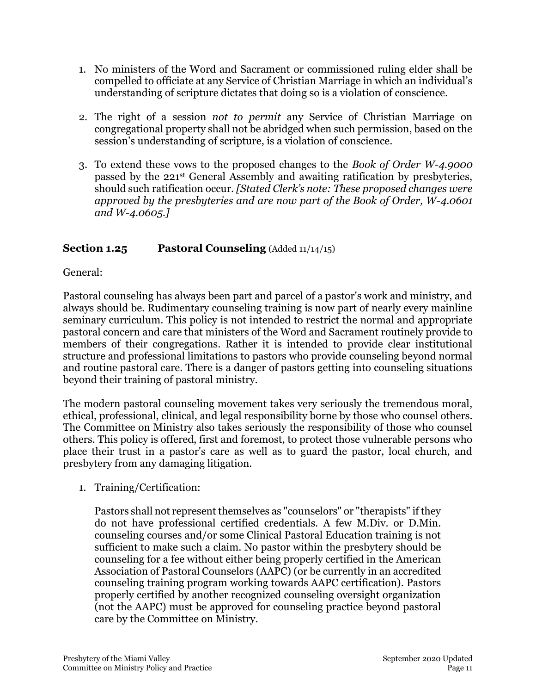- 1. No ministers of the Word and Sacrament or commissioned ruling elder shall be compelled to officiate at any Service of Christian Marriage in which an individual's understanding of scripture dictates that doing so is a violation of conscience.
- 2. The right of a session *not to permit* any Service of Christian Marriage on congregational property shall not be abridged when such permission, based on the session's understanding of scripture, is a violation of conscience.
- 3. To extend these vows to the proposed changes to the *Book of Order W-4.9000* passed by the 221st General Assembly and awaiting ratification by presbyteries, should such ratification occur. *[Stated Clerk's note: These proposed changes were approved by the presbyteries and are now part of the Book of Order, W-4.0601 and W-4.0605.]*

# **Section 1.25 Pastoral Counseling** (Added 11/14/15)

General:

Pastoral counseling has always been part and parcel of a pastor's work and ministry, and always should be. Rudimentary counseling training is now part of nearly every mainline seminary curriculum. This policy is not intended to restrict the normal and appropriate pastoral concern and care that ministers of the Word and Sacrament routinely provide to members of their congregations. Rather it is intended to provide clear institutional structure and professional limitations to pastors who provide counseling beyond normal and routine pastoral care. There is a danger of pastors getting into counseling situations beyond their training of pastoral ministry.

The modern pastoral counseling movement takes very seriously the tremendous moral, ethical, professional, clinical, and legal responsibility borne by those who counsel others. The Committee on Ministry also takes seriously the responsibility of those who counsel others. This policy is offered, first and foremost, to protect those vulnerable persons who place their trust in a pastor's care as well as to guard the pastor, local church, and presbytery from any damaging litigation.

1. Training/Certification:

Pastors shall not represent themselves as "counselors" or "therapists" if they do not have professional certified credentials. A few M.Div. or D.Min. counseling courses and/or some Clinical Pastoral Education training is not sufficient to make such a claim. No pastor within the presbytery should be counseling for a fee without either being properly certified in the American Association of Pastoral Counselors (AAPC) (or be currently in an accredited counseling training program working towards AAPC certification). Pastors properly certified by another recognized counseling oversight organization (not the AAPC) must be approved for counseling practice beyond pastoral care by the Committee on Ministry.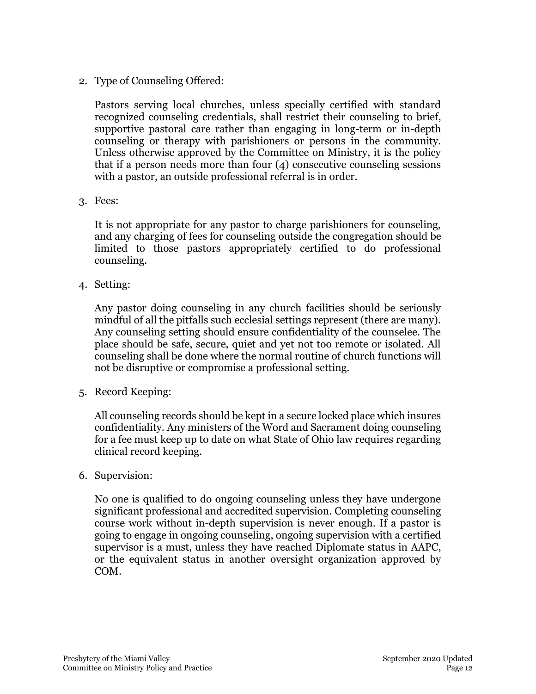### 2. Type of Counseling Offered:

Pastors serving local churches, unless specially certified with standard recognized counseling credentials, shall restrict their counseling to brief, supportive pastoral care rather than engaging in long-term or in-depth counseling or therapy with parishioners or persons in the community. Unless otherwise approved by the Committee on Ministry, it is the policy that if a person needs more than four (4) consecutive counseling sessions with a pastor, an outside professional referral is in order.

3. Fees:

It is not appropriate for any pastor to charge parishioners for counseling, and any charging of fees for counseling outside the congregation should be limited to those pastors appropriately certified to do professional counseling.

4. Setting:

Any pastor doing counseling in any church facilities should be seriously mindful of all the pitfalls such ecclesial settings represent (there are many). Any counseling setting should ensure confidentiality of the counselee. The place should be safe, secure, quiet and yet not too remote or isolated. All counseling shall be done where the normal routine of church functions will not be disruptive or compromise a professional setting.

5. Record Keeping:

All counseling records should be kept in a secure locked place which insures confidentiality. Any ministers of the Word and Sacrament doing counseling for a fee must keep up to date on what State of Ohio law requires regarding clinical record keeping.

6. Supervision:

No one is qualified to do ongoing counseling unless they have undergone significant professional and accredited supervision. Completing counseling course work without in-depth supervision is never enough. If a pastor is going to engage in ongoing counseling, ongoing supervision with a certified supervisor is a must, unless they have reached Diplomate status in AAPC, or the equivalent status in another oversight organization approved by COM.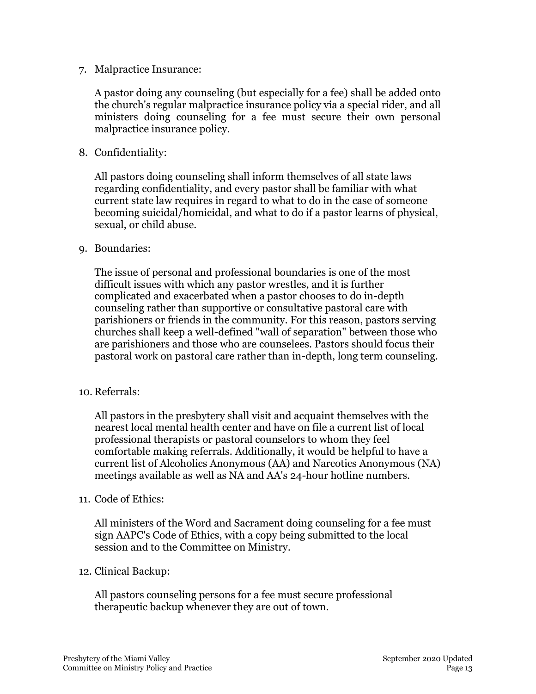7. Malpractice Insurance:

A pastor doing any counseling (but especially for a fee) shall be added onto the church's regular malpractice insurance policy via a special rider, and all ministers doing counseling for a fee must secure their own personal malpractice insurance policy.

8. Confidentiality:

All pastors doing counseling shall inform themselves of all state laws regarding confidentiality, and every pastor shall be familiar with what current state law requires in regard to what to do in the case of someone becoming suicidal/homicidal, and what to do if a pastor learns of physical, sexual, or child abuse.

#### 9. Boundaries:

The issue of personal and professional boundaries is one of the most difficult issues with which any pastor wrestles, and it is further complicated and exacerbated when a pastor chooses to do in-depth counseling rather than supportive or consultative pastoral care with parishioners or friends in the community. For this reason, pastors serving churches shall keep a well-defined "wall of separation" between those who are parishioners and those who are counselees. Pastors should focus their pastoral work on pastoral care rather than in-depth, long term counseling.

#### 10. Referrals:

All pastors in the presbytery shall visit and acquaint themselves with the nearest local mental health center and have on file a current list of local professional therapists or pastoral counselors to whom they feel comfortable making referrals. Additionally, it would be helpful to have a current list of Alcoholics Anonymous (AA) and Narcotics Anonymous (NA) meetings available as well as NA and AA's 24-hour hotline numbers.

#### 11. Code of Ethics:

All ministers of the Word and Sacrament doing counseling for a fee must sign AAPC's Code of Ethics, with a copy being submitted to the local session and to the Committee on Ministry.

#### 12. Clinical Backup:

All pastors counseling persons for a fee must secure professional therapeutic backup whenever they are out of town.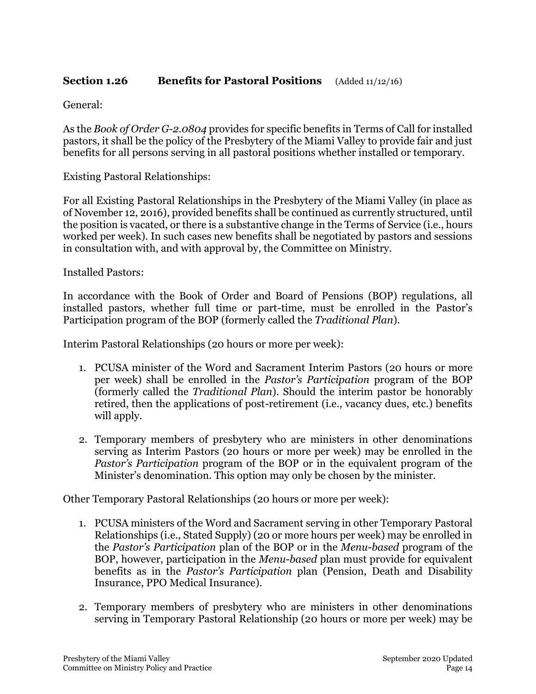## **Section 1.26 Benefits for Pastoral Positions** (Added 11/12/16)

General:

As the *Book of Order G-2.0804* provides for specific benefits in Terms of Call for installed pastors, it shall be the policy of the Presbytery of the Miami Valley to provide fair and just benefits for all persons serving in all pastoral positions whether installed or temporary.

Existing Pastoral Relationships:

For all Existing Pastoral Relationships in the Presbytery of the Miami Valley (in place as of November 12, 2016), provided benefits shall be continued as currently structured, until the position is vacated, or there is a substantive change in the Terms of Service (i.e., hours worked per week). In such cases new benefits shall be negotiated by pastors and sessions in consultation with, and with approval by, the Committee on Ministry.

Installed Pastors:

In accordance with the Book of Order and Board of Pensions (BOP) regulations, all installed pastors, whether full time or part-time, must be enrolled in the Pastor's Participation program of the BOP (formerly called the *Traditional Plan*).

Interim Pastoral Relationships (20 hours or more per week):

- 1. PCUSA minister of the Word and Sacrament Interim Pastors (20 hours or more per week) shall be enrolled in the *Pastor's Participation* program of the BOP (formerly called the *Traditional Plan*). Should the interim pastor be honorably retired, then the applications of post-retirement (i.e., vacancy dues, etc.) benefits will apply.
- 2. Temporary members of presbytery who are ministers in other denominations serving as Interim Pastors (20 hours or more per week) may be enrolled in the *Pastor's Participation* program of the BOP or in the equivalent program of the Minister's denomination. This option may only be chosen by the minister.

Other Temporary Pastoral Relationships (20 hours or more per week):

- 1. PCUSA ministers of the Word and Sacrament serving in other Temporary Pastoral Relationships (i.e., Stated Supply) (20 or more hours per week) may be enrolled in the *Pastor's Participation* plan of the BOP or in the *Menu-based* program of the BOP, however, participation in the *Menu*-*based* plan must provide for equivalent benefits as in the *Pastor's Participation* plan (Pension, Death and Disability Insurance, PPO Medical Insurance).
- 2. Temporary members of presbytery who are ministers in other denominations serving in Temporary Pastoral Relationship (20 hours or more per week) may be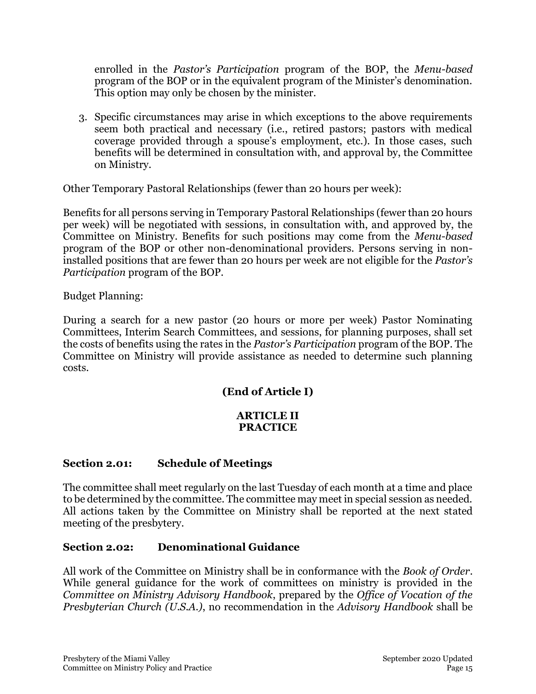enrolled in the *Pastor's Participation* program of the BOP, the *Menu-based*  program of the BOP or in the equivalent program of the Minister's denomination. This option may only be chosen by the minister.

3. Specific circumstances may arise in which exceptions to the above requirements seem both practical and necessary (i.e., retired pastors; pastors with medical coverage provided through a spouse's employment, etc.). In those cases, such benefits will be determined in consultation with, and approval by, the Committee on Ministry.

Other Temporary Pastoral Relationships (fewer than 20 hours per week):

Benefits for all persons serving in Temporary Pastoral Relationships (fewer than 20 hours per week) will be negotiated with sessions, in consultation with, and approved by, the Committee on Ministry. Benefits for such positions may come from the *Menu-based*  program of the BOP or other non-denominational providers. Persons serving in noninstalled positions that are fewer than 20 hours per week are not eligible for the *Pastor's Participation* program of the BOP.

Budget Planning:

During a search for a new pastor (20 hours or more per week) Pastor Nominating Committees, Interim Search Committees, and sessions, for planning purposes, shall set the costs of benefits using the rates in the *Pastor's Participation* program of the BOP. The Committee on Ministry will provide assistance as needed to determine such planning costs.

# **(End of Article I)**

### **ARTICLE II PRACTICE**

## **Section 2.01: Schedule of Meetings**

The committee shall meet regularly on the last Tuesday of each month at a time and place to be determined by the committee. The committee may meet in special session as needed. All actions taken by the Committee on Ministry shall be reported at the next stated meeting of the presbytery.

#### **Section 2.02: Denominational Guidance**

All work of the Committee on Ministry shall be in conformance with the *Book of Order*. While general guidance for the work of committees on ministry is provided in the *Committee on Ministry Advisory Handbook*, prepared by the *Office of Vocation of the Presbyterian Church (U.S.A.)*, no recommendation in the *Advisory Handbook* shall be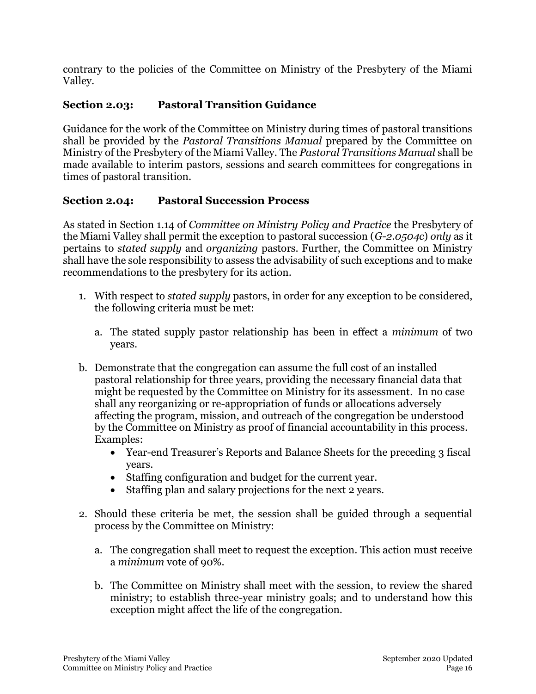contrary to the policies of the Committee on Ministry of the Presbytery of the Miami Valley.

# **Section 2.03: Pastoral Transition Guidance**

Guidance for the work of the Committee on Ministry during times of pastoral transitions shall be provided by the *Pastoral Transitions Manual* prepared by the Committee on Ministry of the Presbytery of the Miami Valley. The *Pastoral Transitions Manual* shall be made available to interim pastors, sessions and search committees for congregations in times of pastoral transition.

## **Section 2.04: Pastoral Succession Process**

As stated in Section 1.14 of *Committee on Ministry Policy and Practice* the Presbytery of the Miami Valley shall permit the exception to pastoral succession (*G-2.0504c*) *only* as it pertains to *stated supply* and *organizing* pastors. Further, the Committee on Ministry shall have the sole responsibility to assess the advisability of such exceptions and to make recommendations to the presbytery for its action.

- 1. With respect to *stated supply* pastors, in order for any exception to be considered, the following criteria must be met:
	- a. The stated supply pastor relationship has been in effect a *minimum* of two years.
- b. Demonstrate that the congregation can assume the full cost of an installed pastoral relationship for three years, providing the necessary financial data that might be requested by the Committee on Ministry for its assessment. In no case shall any reorganizing or re-appropriation of funds or allocations adversely affecting the program, mission, and outreach of the congregation be understood by the Committee on Ministry as proof of financial accountability in this process. Examples:
	- Year-end Treasurer's Reports and Balance Sheets for the preceding 3 fiscal years.
	- Staffing configuration and budget for the current year.
	- Staffing plan and salary projections for the next 2 years.
- 2. Should these criteria be met, the session shall be guided through a sequential process by the Committee on Ministry:
	- a. The congregation shall meet to request the exception. This action must receive a *minimum* vote of 90%.
	- b. The Committee on Ministry shall meet with the session, to review the shared ministry; to establish three-year ministry goals; and to understand how this exception might affect the life of the congregation.